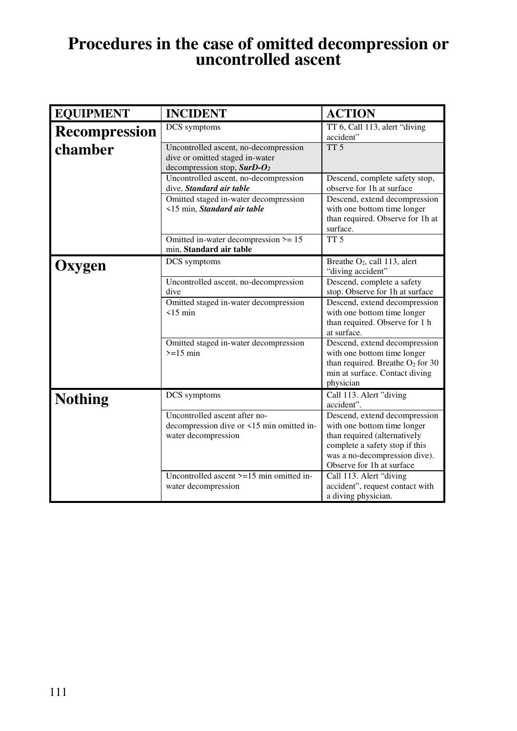## **Procedures in the case of omitted decompression or uncontrolled ascent**

| <b>EQUIPMENT</b>     | <b>INCIDENT</b>                                                                                           | <b>ACTION</b>                                                                                                                                                                                |
|----------------------|-----------------------------------------------------------------------------------------------------------|----------------------------------------------------------------------------------------------------------------------------------------------------------------------------------------------|
| <b>Recompression</b> | DCS symptoms                                                                                              | TT 6, Call 113, alert "diving<br>accident"                                                                                                                                                   |
| chamber              | Uncontrolled ascent, no-decompression<br>dive or omitted staged in-water<br>decompression stop, $SurD-O2$ | TT <sub>5</sub>                                                                                                                                                                              |
|                      | Uncontrolled ascent, no-decompression<br>dive, Standard air table                                         | Descend, complete safety stop,<br>observe for 1h at surface                                                                                                                                  |
|                      | Omitted staged in-water decompression<br><15 min, Standard air table                                      | Descend, extend decompression<br>with one bottom time longer<br>than required. Observe for 1h at<br>surface.                                                                                 |
|                      | Omitted in-water decompression $\ge$ = 15<br>min, Standard air table                                      | $\overline{TT}$ 5                                                                                                                                                                            |
| <b>Oxygen</b>        | DCS symptoms                                                                                              | Breathe O <sub>2</sub> , call 113, alert<br>"diving accident"                                                                                                                                |
|                      | Uncontrolled ascent, no-decompression<br>dive                                                             | Descend, complete a safety<br>stop. Observe for 1h at surface                                                                                                                                |
|                      | Omitted staged in-water decompression<br>$\leq$ 15 min                                                    | Descend, extend decompression<br>with one bottom time longer<br>than required. Observe for 1 h<br>at surface.                                                                                |
|                      | Omitted staged in-water decompression<br>$>=15$ min                                                       | Descend, extend decompression<br>with one bottom time longer<br>than required. Breathe $O_2$ for 30<br>min at surface. Contact diving<br>physician                                           |
| <b>Nothing</b>       | DCS symptoms                                                                                              | Call 113. Alert "diving<br>accident".                                                                                                                                                        |
|                      | Uncontrolled ascent after no-<br>decompression dive or <15 min omitted in-<br>water decompression         | Descend, extend decompression<br>with one bottom time longer<br>than required (alternatively<br>complete a safety stop if this<br>was a no-decompression dive).<br>Observe for 1h at surface |
|                      | Uncontrolled ascent $\geq$ =15 min omitted in-<br>water decompression                                     | Call 113. Alert "diving<br>accident", request contact with<br>a diving physician.                                                                                                            |